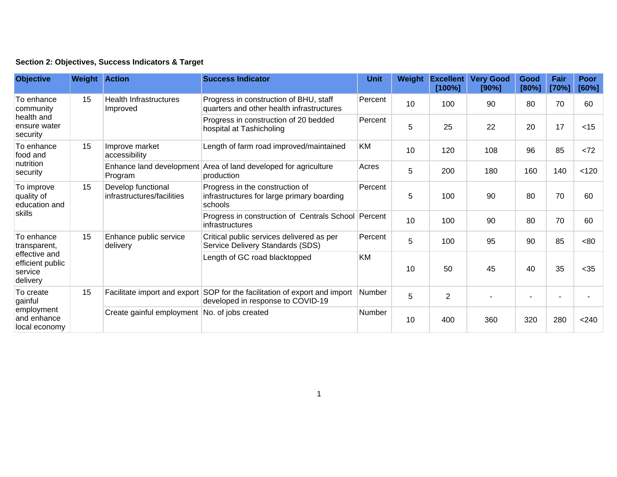| Section 2: Objectives, Success Indicators & Target |  |  |  |  |  |  |
|----------------------------------------------------|--|--|--|--|--|--|
|----------------------------------------------------|--|--|--|--|--|--|

| <b>Objective</b>                                                                       | <b>Weight Action</b> |                                                  | <b>Success Indicator</b>                                                                                        | <b>Unit</b>   | Weight | <b>Excellent</b><br>[100%] | <b>Very Good</b><br>[90%] | Good<br>[80%] | Fair<br>[70%] | Poor<br>[60%] |
|----------------------------------------------------------------------------------------|----------------------|--------------------------------------------------|-----------------------------------------------------------------------------------------------------------------|---------------|--------|----------------------------|---------------------------|---------------|---------------|---------------|
| To enhance<br>community<br>health and<br>ensure water<br>security                      | 15                   | <b>Health Infrastructures</b><br>Improved        | Progress in construction of BHU, staff<br>quarters and other health infrastructures                             | Percent       | 10     | 100                        | 90                        | 80            | 70            | 60            |
|                                                                                        |                      |                                                  | Progress in construction of 20 bedded<br>hospital at Tashicholing                                               | Percent       | 5      | 25                         | 22                        | 20            | 17            | $<$ 15        |
| To enhance<br>food and<br>nutrition<br>security                                        | 15                   | Improve market<br>accessibility                  | Length of farm road improved/maintained                                                                         | <b>KM</b>     | 10     | 120                        | 108                       | 96            | 85            | <72           |
|                                                                                        |                      | Program                                          | Enhance land development Area of land developed for agriculture<br>production                                   | Acres         | 5      | 200                        | 180                       | 160           | 140           | < 120         |
| To improve<br>quality of<br>education and<br>skills                                    | 15                   | Develop functional<br>infrastructures/facilities | Progress in the construction of<br>infrastructures for large primary boarding<br>schools                        | Percent       | 5      | 100                        | 90                        | 80            | 70            | 60            |
|                                                                                        |                      |                                                  | Progress in construction of Centrals School Percent<br>infrastructures                                          |               | 10     | 100                        | 90                        | 80            | 70            | 60            |
| To enhance<br>transparent,<br>effective and<br>efficient public<br>service<br>delivery | 15                   | Enhance public service<br>delivery               | Critical public services delivered as per<br>Service Delivery Standards (SDS)                                   | Percent       | 5      | 100                        | 95                        | 90            | 85            | <80           |
|                                                                                        |                      |                                                  | Length of GC road blacktopped                                                                                   | <b>KM</b>     | 10     | 50                         | 45                        | 40            | 35            | $35$          |
| To create<br>gainful<br>employment<br>and enhance<br>local economy                     | 15                   |                                                  | Facilitate import and export SOP for the facilitation of export and import<br>developed in response to COVID-19 | Number        | 5      | $\overline{2}$             |                           |               |               |               |
|                                                                                        |                      | Create gainful employment No. of jobs created    |                                                                                                                 | <b>Number</b> | 10     | 400                        | 360                       | 320           | 280           | < 240         |